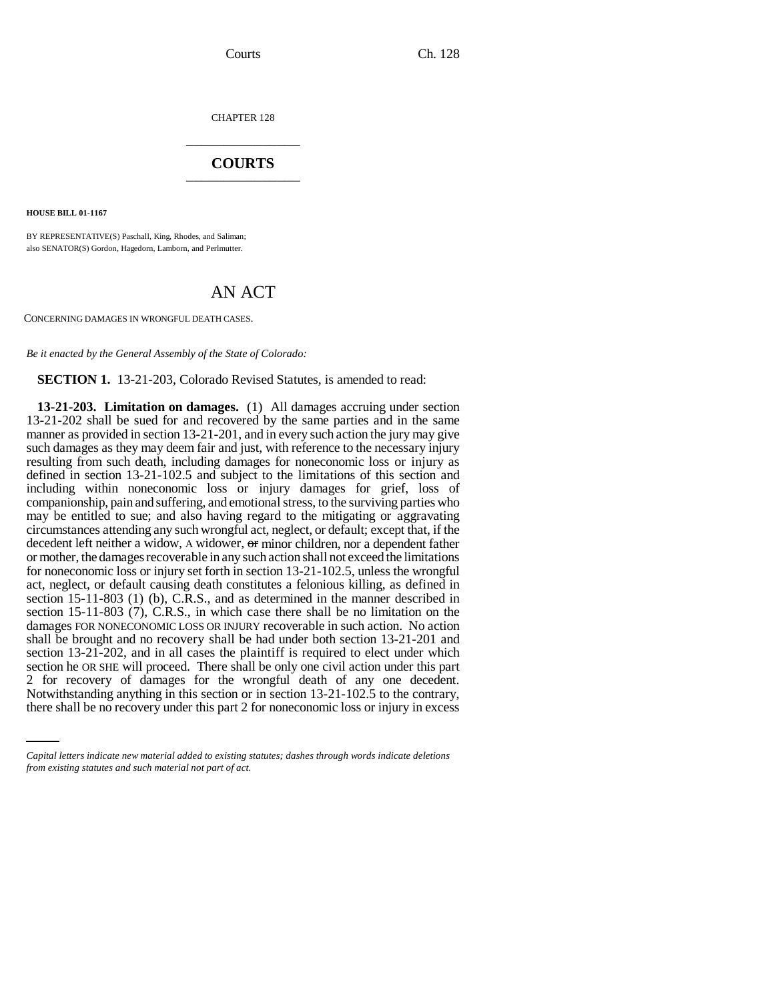CHAPTER 128 \_\_\_\_\_\_\_\_\_\_\_\_\_\_\_

## **COURTS** \_\_\_\_\_\_\_\_\_\_\_\_\_\_\_

**HOUSE BILL 01-1167**

BY REPRESENTATIVE(S) Paschall, King, Rhodes, and Saliman; also SENATOR(S) Gordon, Hagedorn, Lamborn, and Perlmutter.

## AN ACT

CONCERNING DAMAGES IN WRONGFUL DEATH CASES.

*Be it enacted by the General Assembly of the State of Colorado:*

**SECTION 1.** 13-21-203, Colorado Revised Statutes, is amended to read:

2 for recovery of damages for the wrongful death of any one decedent. **13-21-203. Limitation on damages.** (1) All damages accruing under section 13-21-202 shall be sued for and recovered by the same parties and in the same manner as provided in section 13-21-201, and in every such action the jury may give such damages as they may deem fair and just, with reference to the necessary injury resulting from such death, including damages for noneconomic loss or injury as defined in section 13-21-102.5 and subject to the limitations of this section and including within noneconomic loss or injury damages for grief, loss of companionship, pain and suffering, and emotional stress, to the surviving parties who may be entitled to sue; and also having regard to the mitigating or aggravating circumstances attending any such wrongful act, neglect, or default; except that, if the decedent left neither a widow, A widower, or minor children, nor a dependent father or mother, the damages recoverable in any such action shall not exceed the limitations for noneconomic loss or injury set forth in section 13-21-102.5, unless the wrongful act, neglect, or default causing death constitutes a felonious killing, as defined in section 15-11-803 (1) (b), C.R.S., and as determined in the manner described in section 15-11-803 (7), C.R.S., in which case there shall be no limitation on the damages FOR NONECONOMIC LOSS OR INJURY recoverable in such action. No action shall be brought and no recovery shall be had under both section 13-21-201 and section 13-21-202, and in all cases the plaintiff is required to elect under which section he OR SHE will proceed. There shall be only one civil action under this part Notwithstanding anything in this section or in section 13-21-102.5 to the contrary, there shall be no recovery under this part 2 for noneconomic loss or injury in excess

*Capital letters indicate new material added to existing statutes; dashes through words indicate deletions from existing statutes and such material not part of act.*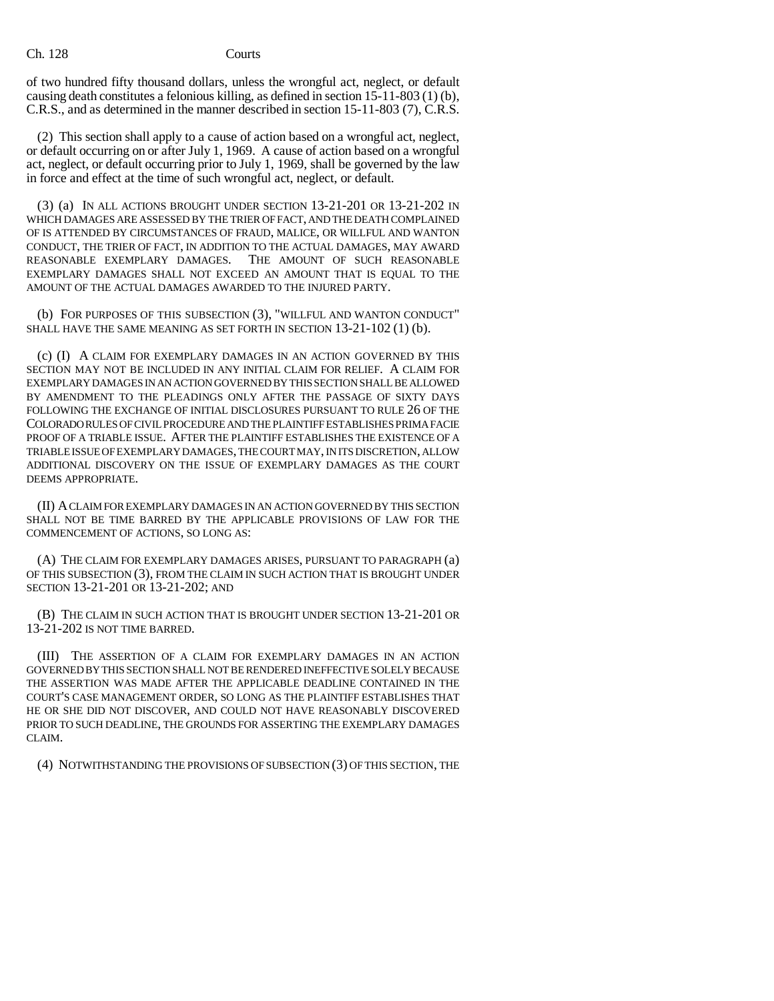## Ch. 128 Courts

of two hundred fifty thousand dollars, unless the wrongful act, neglect, or default causing death constitutes a felonious killing, as defined in section 15-11-803 (1) (b), C.R.S., and as determined in the manner described in section 15-11-803 (7), C.R.S.

(2) This section shall apply to a cause of action based on a wrongful act, neglect, or default occurring on or after July 1, 1969. A cause of action based on a wrongful act, neglect, or default occurring prior to July 1, 1969, shall be governed by the law in force and effect at the time of such wrongful act, neglect, or default.

(3) (a) IN ALL ACTIONS BROUGHT UNDER SECTION 13-21-201 OR 13-21-202 IN WHICH DAMAGES ARE ASSESSED BY THE TRIER OF FACT, AND THE DEATH COMPLAINED OF IS ATTENDED BY CIRCUMSTANCES OF FRAUD, MALICE, OR WILLFUL AND WANTON CONDUCT, THE TRIER OF FACT, IN ADDITION TO THE ACTUAL DAMAGES, MAY AWARD REASONABLE EXEMPLARY DAMAGES. THE AMOUNT OF SUCH REASONABLE EXEMPLARY DAMAGES SHALL NOT EXCEED AN AMOUNT THAT IS EQUAL TO THE AMOUNT OF THE ACTUAL DAMAGES AWARDED TO THE INJURED PARTY.

(b) FOR PURPOSES OF THIS SUBSECTION (3), "WILLFUL AND WANTON CONDUCT" SHALL HAVE THE SAME MEANING AS SET FORTH IN SECTION 13-21-102 (1) (b).

(c) (I) A CLAIM FOR EXEMPLARY DAMAGES IN AN ACTION GOVERNED BY THIS SECTION MAY NOT BE INCLUDED IN ANY INITIAL CLAIM FOR RELIEF. A CLAIM FOR EXEMPLARY DAMAGES IN AN ACTION GOVERNED BY THIS SECTION SHALL BE ALLOWED BY AMENDMENT TO THE PLEADINGS ONLY AFTER THE PASSAGE OF SIXTY DAYS FOLLOWING THE EXCHANGE OF INITIAL DISCLOSURES PURSUANT TO RULE 26 OF THE COLORADO RULES OF CIVIL PROCEDURE AND THE PLAINTIFF ESTABLISHES PRIMA FACIE PROOF OF A TRIABLE ISSUE. AFTER THE PLAINTIFF ESTABLISHES THE EXISTENCE OF A TRIABLE ISSUE OF EXEMPLARY DAMAGES, THE COURT MAY, IN ITS DISCRETION, ALLOW ADDITIONAL DISCOVERY ON THE ISSUE OF EXEMPLARY DAMAGES AS THE COURT DEEMS APPROPRIATE.

(II) A CLAIM FOR EXEMPLARY DAMAGES IN AN ACTION GOVERNED BY THIS SECTION SHALL NOT BE TIME BARRED BY THE APPLICABLE PROVISIONS OF LAW FOR THE COMMENCEMENT OF ACTIONS, SO LONG AS:

(A) THE CLAIM FOR EXEMPLARY DAMAGES ARISES, PURSUANT TO PARAGRAPH (a) OF THIS SUBSECTION (3), FROM THE CLAIM IN SUCH ACTION THAT IS BROUGHT UNDER SECTION 13-21-201 OR 13-21-202; AND

(B) THE CLAIM IN SUCH ACTION THAT IS BROUGHT UNDER SECTION 13-21-201 OR 13-21-202 IS NOT TIME BARRED.

(III) THE ASSERTION OF A CLAIM FOR EXEMPLARY DAMAGES IN AN ACTION GOVERNED BY THIS SECTION SHALL NOT BE RENDERED INEFFECTIVE SOLELY BECAUSE THE ASSERTION WAS MADE AFTER THE APPLICABLE DEADLINE CONTAINED IN THE COURT'S CASE MANAGEMENT ORDER, SO LONG AS THE PLAINTIFF ESTABLISHES THAT HE OR SHE DID NOT DISCOVER, AND COULD NOT HAVE REASONABLY DISCOVERED PRIOR TO SUCH DEADLINE, THE GROUNDS FOR ASSERTING THE EXEMPLARY DAMAGES CLAIM.

(4) NOTWITHSTANDING THE PROVISIONS OF SUBSECTION (3) OF THIS SECTION, THE